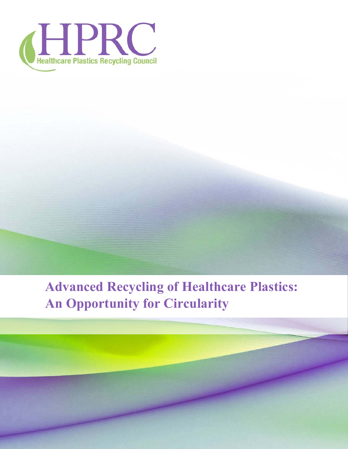

# **Advanced Recycling of Healthcare Plastics: An Opportunity for Circularity**

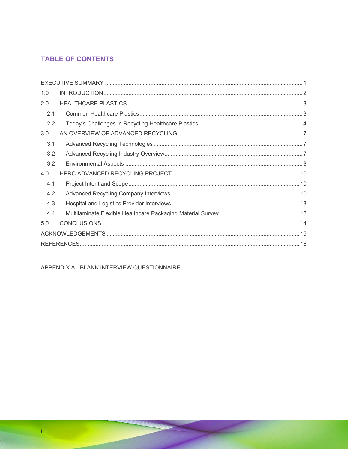# **TABLE OF CONTENTS**

| 1.0 |  |
|-----|--|
| 2.0 |  |
| 2.1 |  |
| 2.2 |  |
| 3.0 |  |
| 3.1 |  |
| 3.2 |  |
| 3.2 |  |
| 4.0 |  |
| 4.1 |  |
| 4.2 |  |
| 4.3 |  |
| 4.4 |  |
| 5.0 |  |
|     |  |
|     |  |

APPENDIX A - BLANK INTERVIEW QUESTIONNAIRE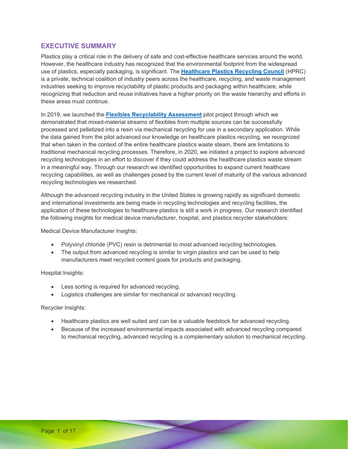### **EXECUTIVE SUMMARY**

Plastics play a critical role in the delivery of safe and cost-effective healthcare services around the world. However, the healthcare industry has recognized that the environmental footprint from the widespread use of plastics, especially packaging, is significant. The **Healthcare Plastics Recycling Council** (HPRC) is a private, technical coalition of industry peers across the healthcare, recycling, and waste management industries seeking to improve recyclability of plastic products and packaging within healthcare, while recognizing that reduction and reuse initiatives have a higher priority on the waste hierarchy and efforts in these areas must continue.

In 2019, we launched the **Flexibles Recyclability Assessment** pilot project through which we demonstrated that mixed-material streams of flexibles from multiple sources can be successfully processed and pelletized into a resin via mechanical recycling for use in a secondary application. While the data gained from the pilot advanced our knowledge on healthcare plastics recycling, we recognized that when taken in the context of the entire healthcare plastics waste steam, there are limitations to traditional mechanical recycling processes. Therefore, in 2020, we initiated a project to explore advanced recycling technologies in an effort to discover if they could address the healthcare plastics waste stream in a meaningful way. Through our research we identified opportunities to expand current healthcare recycling capabilities, as well as challenges posed by the current level of maturity of the various advanced recycling technologies we researched.

Although the advanced recycling industry in the United States is growing rapidly as significant domestic and international investments are being made in recycling technologies and recycling facilities, the application of these technologies to healthcare plastics is still a work in progress. Our research identified the following insights for medical device manufacturer, hospital, and plastics recycler stakeholders:

Medical Device Manufacturer Insights:

- Polyvinyl chloride (PVC) resin is detrimental to most advanced recycling technologies.
- The output from advanced recycling is similar to virgin plastics and can be used to help manufacturers meet recycled content goals for products and packaging.

Hospital Insights:

- Less sorting is required for advanced recycling.
- Logistics challenges are similar for mechanical or advanced recycling.

Recycler Insights:

- Healthcare plastics are well suited and can be a valuable feedstock for advanced recycling.
- Because of the increased environmental impacts associated with advanced recycling compared to mechanical recycling, advanced recycling is a complementary solution to mechanical recycling.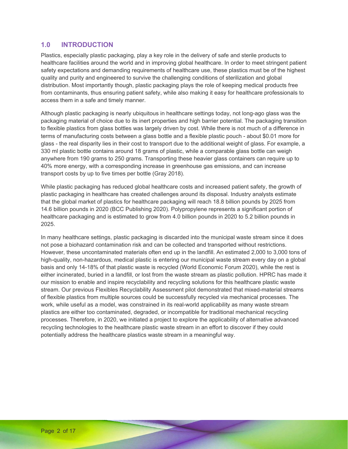### **1.0 INTRODUCTION**

Plastics, especially plastic packaging, play a key role in the delivery of safe and sterile products to healthcare facilities around the world and in improving global healthcare. In order to meet stringent patient safety expectations and demanding requirements of healthcare use, these plastics must be of the highest quality and purity and engineered to survive the challenging conditions of sterilization and global distribution. Most importantly though, plastic packaging plays the role of keeping medical products free from contaminants, thus ensuring patient safety, while also making it easy for healthcare professionals to access them in a safe and timely manner.

Although plastic packaging is nearly ubiquitous in healthcare settings today, not long-ago glass was the packaging material of choice due to its inert properties and high barrier potential. The packaging transition to flexible plastics from glass bottles was largely driven by cost. While there is not much of a difference in terms of manufacturing costs between a glass bottle and a flexible plastic pouch - about \$0.01 more for glass - the real disparity lies in their cost to transport due to the additional weight of glass. For example, a 330 ml plastic bottle contains around 18 grams of plastic, while a comparable glass bottle can weigh anywhere from 190 grams to 250 grams. Transporting these heavier glass containers can require up to 40% more energy, with a corresponding increase in greenhouse gas emissions, and can increase transport costs by up to five times per bottle (Gray 2018).

While plastic packaging has reduced global healthcare costs and increased patient safety, the growth of plastic packaging in healthcare has created challenges around its disposal. Industry analysts estimate that the global market of plastics for healthcare packaging will reach 18.8 billion pounds by 2025 from 14.6 billion pounds in 2020 (BCC Publishing 2020). Polypropylene represents a significant portion of healthcare packaging and is estimated to grow from 4.0 billion pounds in 2020 to 5.2 billion pounds in 2025.

In many healthcare settings, plastic packaging is discarded into the municipal waste stream since it does not pose a biohazard contamination risk and can be collected and transported without restrictions. However, these uncontaminated materials often end up in the landfill. An estimated 2,000 to 3,000 tons of high-quality, non-hazardous, medical plastic is entering our municipal waste stream every day on a global basis and only 14-18% of that plastic waste is recycled (World Economic Forum 2020), while the rest is either incinerated, buried in a landfill, or lost from the waste stream as plastic pollution. HPRC has made it our mission to enable and inspire recyclability and recycling solutions for this healthcare plastic waste stream. Our previous Flexibles Recyclability Assessment pilot demonstrated that mixed-material streams of flexible plastics from multiple sources could be successfully recycled via mechanical processes. The work, while useful as a model, was constrained in its real-world applicability as many waste stream plastics are either too contaminated, degraded, or incompatible for traditional mechanical recycling processes. Therefore, in 2020, we initiated a project to explore the applicability of alternative advanced recycling technologies to the healthcare plastic waste stream in an effort to discover if they could potentially address the healthcare plastics waste stream in a meaningful way.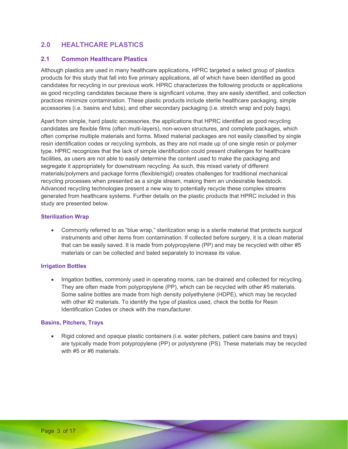# **2.0 HEALTHCARE PLASTICS**

### **2.1 Common Healthcare Plastics**

Although plastics are used in many healthcare applications, HPRC targeted a select group of plastics products for this study that fall into five primary applications, all of which have been identified as good candidates for recycling in our previous work. HPRC characterizes the following products or applications as good recycling candidates because there is significant volume, they are easily identified, and collection practices minimize contamination. These plastic products include sterile healthcare packaging, simple accessories (i.e. basins and tubs), and other secondary packaging (i.e. stretch wrap and poly bags).

Apart from simple, hard plastic accessories, the applications that HPRC identified as good recycling candidates are flexible films (often multi-layers), non-woven structures, and complete packages, which often comprise multiple materials and forms. Mixed material packages are not easily classified by single resin identification codes or recycling symbols, as they are not made up of one single resin or polymer type. HPRC recognizes that the lack of simple identification could present challenges for healthcare facilities, as users are not able to easily determine the content used to make the packaging and segregate it appropriately for downstream recycling. As such, this mixed variety of different materials/polymers and package forms (flexible/rigid) creates challenges for traditional mechanical recycling processes when presented as a single stream, making them an undesirable feedstock. Advanced recycling technologies present a new way to potentially recycle these complex streams generated from healthcare systems. Further details on the plastic products that HPRC included in this study are presented below.

#### **Sterilization Wrap**

 Commonly referred to as "blue wrap," sterilization wrap is a sterile material that protects surgical instruments and other items from contamination. If collected before surgery, it is a clean material that can be easily saved. It is made from polypropylene (PP) and may be recycled with other #5 materials or can be collected and baled separately to increase its value.

#### **Irrigation Bottles**

 Irrigation bottles, commonly used in operating rooms, can be drained and collected for recycling. They are often made from polypropylene (PP), which can be recycled with other #5 materials. Some saline bottles are made from high density polyethylene (HDPE), which may be recycled with other #2 materials. To identify the type of plastics used, check the bottle for Resin Identification Codes or check with the manufacturer.

#### **Basins, Pitchers, Trays**

 Rigid colored and opaque plastic containers (i.e. water pitchers, patient care basins and trays) are typically made from polypropylene (PP) or polystyrene (PS). These materials may be recycled with #5 or #6 materials.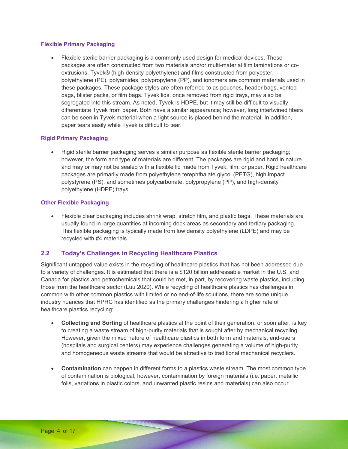#### **Flexible Primary Packaging**

 Flexible sterile barrier packaging is a commonly used design for medical devices. These packages are often constructed from two materials and/or multi-material film laminations or coextrusions. Tyvek® (high-density polyethylene) and films constructed from polyester, polyethylene (PE), polyamides, polypropylene (PP), and ionomers are common materials used in these packages. These package styles are often referred to as pouches, header bags, vented bags, blister packs, or film bags. Tyvek lids, once removed from rigid trays, may also be segregated into this stream. As noted, Tyvek is HDPE, but it may still be difficult to visually differentiate Tyvek from paper. Both have a similar appearance; however, long intertwined fibers can be seen in Tyvek material when a light source is placed behind the material. In addition, paper tears easily while Tyvek is difficult to tear.

#### **Rigid Primary Packaging**

 Rigid sterile barrier packaging serves a similar purpose as flexible sterile barrier packaging; however, the form and type of materials are different. The packages are rigid and hard in nature and may or may not be sealed with a flexible lid made from Tyvek, film, or paper. Rigid healthcare packages are primarily made from polyethylene terephthalate glycol (PETG), high impact polystyrene (PS), and sometimes polycarbonate, polypropylene (PP), and high-density polyethylene (HDPE) trays.

#### **Other Flexible Packaging**

 Flexible clear packaging includes shrink wrap, stretch film, and plastic bags. These materials are usually found in large quantities at incoming dock areas as secondary and tertiary packaging. This flexible packaging is typically made from low density polyethylene (LDPE) and may be recycled with #4 materials.

#### **2.2 Today's Challenges in Recycling Healthcare Plastics**

Significant untapped value exists in the recycling of healthcare plastics that has not been addressed due to a variety of challenges**.** It is estimated that there is a \$120 billion addressable market in the U.S. and Canada for plastics and petrochemicals that could be met, in part, by recovering waste plastics, including those from the healthcare sector (Luu 2020). While recycling of healthcare plastics has challenges in common with other common plastics with limited or no end-of-life solutions, there are some unique industry nuances that HPRC has identified as the primary challenges hindering a higher rate of healthcare plastics recycling:

- **Collecting and Sorting** of healthcare plastics at the point of their generation, or soon after, is key to creating a waste stream of high-purity materials that is sought after by mechanical recycling. However, given the mixed nature of healthcare plastics in both form and materials, end-users (hospitals and surgical centers) may experience challenges generating a volume of high-purity and homogeneous waste streams that would be attractive to traditional mechanical recyclers.
- **Contamination** can happen in different forms to a plastics waste stream. The most common type of contamination is biological, however, contamination by foreign materials (i.e. paper, metallic foils, variations in plastic colors, and unwanted plastic resins and materials) can also occur.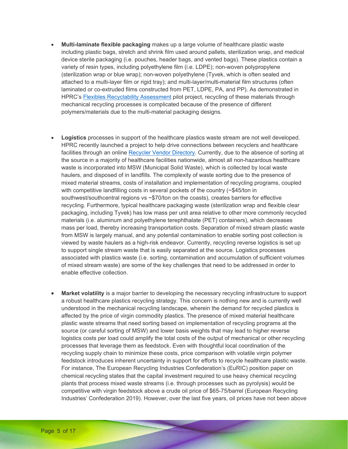- **Multi-laminate flexible packaging** makes up a large volume of healthcare plastic waste including plastic bags, stretch and shrink film used around pallets, sterilization wrap, and medical device sterile packaging (i.e. pouches, header bags, and vented bags). These plastics contain a variety of resin types, including polyethylene film (i.e. LDPE); non-woven polypropylene (sterilization wrap or blue wrap); non-woven polyethylene (Tyvek, which is often sealed and attached to a multi-layer film or rigid tray); and multi-layer/multi-material film structures (often laminated or co-extruded films constructed from PET, LDPE, PA, and PP). As demonstrated in HPRC's Flexibles Recyclability Assessment pilot project, recycling of these materials through mechanical recycling processes is complicated because of the presence of different polymers/materials due to the multi-material packaging designs.
- **Logistics** processes in support of the healthcare plastics waste stream are not well developed. HPRC recently launched a project to help drive connections between recyclers and healthcare facilities through an online Recycler Vendor Directory. Currently, due to the absence of sorting at the source in a majority of healthcare facilities nationwide, almost all non-hazardous healthcare waste is incorporated into MSW (Municipal Solid Waste), which is collected by local waste haulers, and disposed of in landfills. The complexity of waste sorting due to the presence of mixed material streams, costs of installation and implementation of recycling programs, coupled with competitive landfilling costs in several pockets of the country (~\$45/ton in southwest/southcentral regions vs ~\$70/ton on the coasts), creates barriers for effective recycling. Furthermore, typical healthcare packaging waste (sterilization wrap and flexible clear packaging, including Tyvek) has low mass per unit area relative to other more commonly recycled materials (i.e. aluminum and polyethylene terephthalate (PET) containers), which decreases mass per load, thereby increasing transportation costs. Separation of mixed stream plastic waste from MSW is largely manual, and any potential contamination to enable sorting post collection is viewed by waste haulers as a high-risk endeavor. Currently, recycling reverse logistics is set up to support single stream waste that is easily separated at the source. Logistics processes associated with plastics waste (i.e. sorting, contamination and accumulation of sufficient volumes of mixed stream waste) are some of the key challenges that need to be addressed in order to enable effective collection.
- **Market volatility** is a major barrier to developing the necessary recycling infrastructure to support a robust healthcare plastics recycling strategy. This concern is nothing new and is currently well understood in the mechanical recycling landscape, wherein the demand for recycled plastics is affected by the price of virgin commodity plastics. The presence of mixed material healthcare plastic waste streams that need sorting based on implementation of recycling programs at the source (or careful sorting of MSW) and lower basis weights that may lead to higher reverse logistics costs per load could amplify the total costs of the output of mechanical or other recycling processes that leverage them as feedstock. Even with thoughtful local coordination of the recycling supply chain to minimize these costs, price comparison with volatile virgin polymer feedstock introduces inherent uncertainty in support for efforts to recycle healthcare plastic waste. For instance, The European Recycling Industries Confederation's (EuRIC) position paper on chemical recycling states that the capital investment required to use heavy chemical recycling plants that process mixed waste streams (i.e. through processes such as pyrolysis) would be competitive with virgin feedstock above a crude oil price of \$65-75/barrel (European Recycling Industries' Confederation 2019). However, over the last five years, oil prices have not been above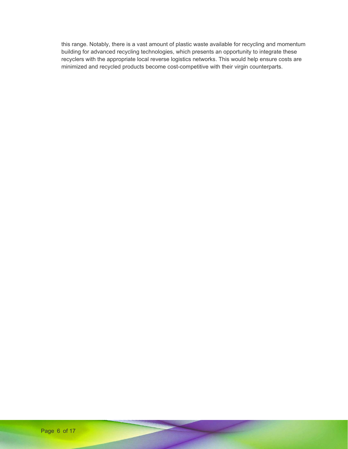this range. Notably, there is a vast amount of plastic waste available for recycling and momentum building for advanced recycling technologies, which presents an opportunity to integrate these recyclers with the appropriate local reverse logistics networks. This would help ensure costs are minimized and recycled products become cost-competitive with their virgin counterparts.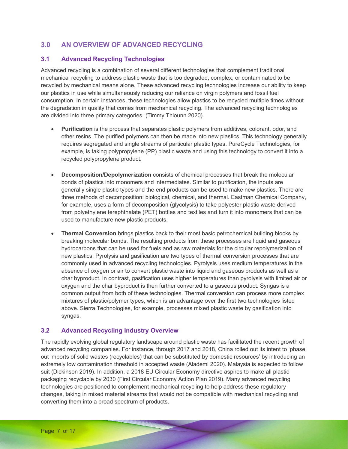# **3.0 AN OVERVIEW OF ADVANCED RECYCLING**

### **3.1 Advanced Recycling Technologies**

Advanced recycling is a combination of several different technologies that complement traditional mechanical recycling to address plastic waste that is too degraded, complex, or contaminated to be recycled by mechanical means alone. These advanced recycling technologies increase our ability to keep our plastics in use while simultaneously reducing our reliance on virgin polymers and fossil fuel consumption. In certain instances, these technologies allow plastics to be recycled multiple times without the degradation in quality that comes from mechanical recycling. The advanced recycling technologies are divided into three primary categories. (Timmy Thiounn 2020).

- **Purification** is the process that separates plastic polymers from additives, colorant, odor, and other resins. The purified polymers can then be made into new plastics. This technology generally requires segregated and single streams of particular plastic types. PureCycle Technologies, for example, is taking polypropylene (PP) plastic waste and using this technology to convert it into a recycled polypropylene product.
- **Decomposition/Depolymerization** consists of chemical processes that break the molecular bonds of plastics into monomers and intermediates. Similar to purification, the inputs are generally single plastic types and the end products can be used to make new plastics. There are three methods of decomposition: biological, chemical, and thermal. Eastman Chemical Company, for example, uses a form of decomposition (glycolysis) to take polyester plastic waste derived from polyethylene terephthalate (PET) bottles and textiles and turn it into monomers that can be used to manufacture new plastic products.
- **Thermal Conversion** brings plastics back to their most basic petrochemical building blocks by breaking molecular bonds. The resulting products from these processes are liquid and gaseous hydrocarbons that can be used for fuels and as raw materials for the circular repolymerization of new plastics. Pyrolysis and gasification are two types of thermal conversion processes that are commonly used in advanced recycling technologies. Pyrolysis uses medium temperatures in the absence of oxygen or air to convert plastic waste into liquid and gaseous products as well as a char byproduct. In contrast, gasification uses higher temperatures than pyrolysis with limited air or oxygen and the char byproduct is then further converted to a gaseous product. Syngas is a common output from both of these technologies. Thermal conversion can process more complex mixtures of plastic/polymer types, which is an advantage over the first two technologies listed above. Sierra Technologies, for example, processes mixed plastic waste by gasification into syngas.

### **3.2 Advanced Recycling Industry Overview**

The rapidly evolving global regulatory landscape around plastic waste has facilitated the recent growth of advanced recycling companies. For instance, through 2017 and 2018, China rolled out its intent to 'phase out imports of solid wastes (recyclables) that can be substituted by domestic resources' by introducing an extremely low contamination threshold in accepted waste (Alademi 2020). Malaysia is expected to follow suit (Dickinson 2019). In addition, a 2018 EU Circular Economy directive aspires to make all plastic packaging recyclable by 2030 (First Circular Economy Action Plan 2019). Many advanced recycling technologies are positioned to complement mechanical recycling to help address these regulatory changes, taking in mixed material streams that would not be compatible with mechanical recycling and converting them into a broad spectrum of products.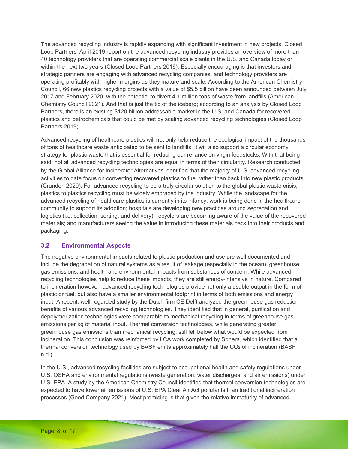The advanced recycling industry is rapidly expanding with significant investment in new projects. Closed Loop Partners' April 2019 report on the advanced recycling industry provides an overview of more than 40 technology providers that are operating commercial scale plants in the U.S. and Canada today or within the next two years (Closed Loop Partners 2019). Especially encouraging is that investors and strategic partners are engaging with advanced recycling companies, and technology providers are operating profitably with higher margins as they mature and scale. According to the American Chemistry Council, 66 new plastics recycling projects with a value of \$5.5 billion have been announced between July 2017 and February 2020, with the potential to divert 4.1 million tons of waste from landfills (American Chemistry Council 2021). And that is just the tip of the iceberg; according to an analysis by Closed Loop Partners, there is an existing \$120 billion addressable market in the U.S. and Canada for recovered plastics and petrochemicals that could be met by scaling advanced recycling technologies (Closed Loop Partners 2019).

Advanced recycling of healthcare plastics will not only help reduce the ecological impact of the thousands of tons of healthcare waste anticipated to be sent to landfills, it will also support a circular economy strategy for plastic waste that is essential for reducing our reliance on virgin feedstocks. With that being said, not all advanced recycling technologies are equal in terms of their circularity. Research conducted by the Global Alliance for Incinerator Alternatives identified that the majority of U.S. advanced recycling activities to date focus on converting recovered plastics to fuel rather than back into new plastic products (Crunden 2020). For advanced recycling to be a truly circular solution to the global plastic waste crisis, plastics to plastics recycling must be widely embraced by the industry. While the landscape for the advanced recycling of healthcare plastics is currently in its infancy, work is being done in the healthcare community to support its adoption; hospitals are developing new practices around segregation and logistics (i.e. collection, sorting, and delivery); recyclers are becoming aware of the value of the recovered materials; and manufacturers seeing the value in introducing these materials back into their products and packaging.

### **3.2 Environmental Aspects**

The negative environmental impacts related to plastic production and use are well documented and include the degradation of natural systems as a result of leakage (especially in the ocean), greenhouse gas emissions, and health and environmental impacts from substances of concern. While advanced recycling technologies help to reduce these impacts, they are still energy-intensive in nature. Compared to incineration however, advanced recycling technologies provide not only a usable output in the form of plastic or fuel, but also have a smaller environmental footprint in terms of both emissions and energy input. A recent, well-regarded study by the Dutch firm CE Delft analyzed the greenhouse gas reduction benefits of various advanced recycling technologies. They identified that in general, purification and depolymerization technologies were comparable to mechanical recycling in terms of greenhouse gas emissions per kg of material input. Thermal conversion technologies, while generating greater greenhouse gas emissions than mechanical recycling, still fell below what would be expected from incineration. This conclusion was reinforced by LCA work completed by Sphera, which identified that a thermal conversion technology used by BASF emits approximately half the  $CO<sub>2</sub>$  of incineration (BASF) n.d.).

In the U.S., advanced recycling facilities are subject to occupational health and safety regulations under U.S. OSHA and environmental regulations (waste generation, water discharges, and air emissions) under U.S. EPA. A study by the American Chemistry Council identified that thermal conversion technologies are expected to have lower air emissions of U.S. EPA Clear Air Act pollutants than traditional incineration processes (Good Company 2021). Most promising is that given the relative immaturity of advanced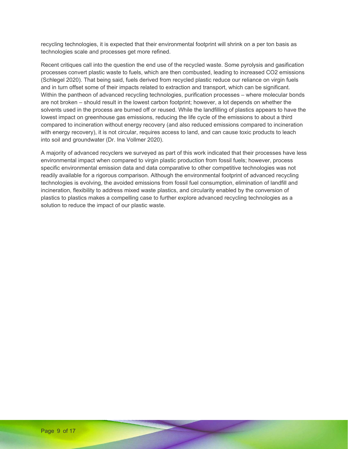recycling technologies, it is expected that their environmental footprint will shrink on a per ton basis as technologies scale and processes get more refined.

Recent critiques call into the question the end use of the recycled waste. Some pyrolysis and gasification processes convert plastic waste to fuels, which are then combusted, leading to increased CO2 emissions (Schlegel 2020). That being said, fuels derived from recycled plastic reduce our reliance on virgin fuels and in turn offset some of their impacts related to extraction and transport, which can be significant. Within the pantheon of advanced recycling technologies, purification processes – where molecular bonds are not broken – should result in the lowest carbon footprint; however, a lot depends on whether the solvents used in the process are burned off or reused. While the landfilling of plastics appears to have the lowest impact on greenhouse gas emissions, reducing the life cycle of the emissions to about a third compared to incineration without energy recovery (and also reduced emissions compared to incineration with energy recovery), it is not circular, requires access to land, and can cause toxic products to leach into soil and groundwater (Dr. Ina Vollmer 2020).

A majority of advanced recyclers we surveyed as part of this work indicated that their processes have less environmental impact when compared to virgin plastic production from fossil fuels; however, process specific environmental emission data and data comparative to other competitive technologies was not readily available for a rigorous comparison. Although the environmental footprint of advanced recycling technologies is evolving, the avoided emissions from fossil fuel consumption, elimination of landfill and incineration, flexibility to address mixed waste plastics, and circularity enabled by the conversion of plastics to plastics makes a compelling case to further explore advanced recycling technologies as a solution to reduce the impact of our plastic waste.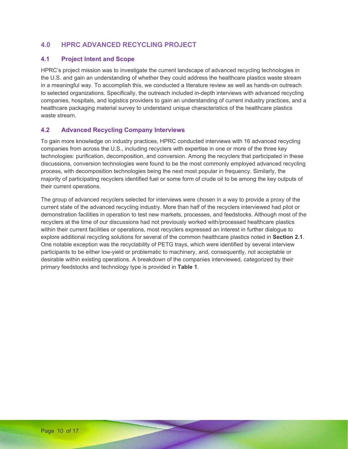# **4.0 HPRC ADVANCED RECYCLING PROJECT**

### **4.1 Project Intent and Scope**

HPRC's project mission was to investigate the current landscape of advanced recycling technologies in the U.S. and gain an understanding of whether they could address the healthcare plastics waste stream in a meaningful way. To accomplish this, we conducted a literature review as well as hands-on outreach to selected organizations. Specifically, the outreach included in-depth interviews with advanced recycling companies, hospitals, and logistics providers to gain an understanding of current industry practices, and a healthcare packaging material survey to understand unique characteristics of the healthcare plastics waste stream.

### **4.2 Advanced Recycling Company Interviews**

To gain more knowledge on industry practices, HPRC conducted interviews with 16 advanced recycling companies from across the U.S., including recyclers with expertise in one or more of the three key technologies: purification, decomposition, and conversion. Among the recyclers that participated in these discussions, conversion technologies were found to be the most commonly employed advanced recycling process, with decomposition technologies being the next most popular in frequency. Similarly, the majority of participating recyclers identified fuel or some form of crude oil to be among the key outputs of their current operations.

The group of advanced recyclers selected for interviews were chosen in a way to provide a proxy of the current state of the advanced recycling industry. More than half of the recyclers interviewed had pilot or demonstration facilities in operation to test new markets, processes, and feedstocks. Although most of the recyclers at the time of our discussions had not previously worked with/processed healthcare plastics within their current facilities or operations, most recyclers expressed an interest in further dialogue to explore additional recycling solutions for several of the common healthcare plastics noted in **Section 2.1**. One notable exception was the recyclability of PETG trays, which were identified by several interview participants to be either low-yield or problematic to machinery, and, consequently, not acceptable or desirable within existing operations. A breakdown of the companies interviewed, categorized by their primary feedstocks and technology type is provided in **Table 1**.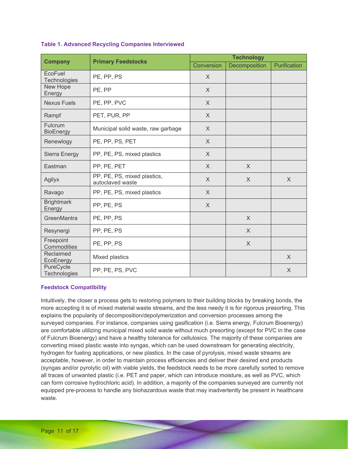|                                    |                                                 | <b>Technology</b> |               |              |  |
|------------------------------------|-------------------------------------------------|-------------------|---------------|--------------|--|
| <b>Company</b>                     | <b>Primary Feedstocks</b>                       | Conversion        | Decomposition | Purification |  |
| EcoFuel<br>Technologies            | PE, PP, PS                                      | $\times$          |               |              |  |
| New Hope<br>Energy                 | PE, PP                                          | $\sf X$           |               |              |  |
| <b>Nexus Fuels</b>                 | PE, PP, PVC                                     | $\times$          |               |              |  |
| Rampf                              | PET, PUR, PP                                    | $\times$          |               |              |  |
| <b>Fulcrum</b><br><b>BioEnergy</b> | Municipal solid waste, raw garbage              | $\times$          |               |              |  |
| Renewlogy                          | PE, PP, PS, PET                                 | $\sf X$           |               |              |  |
| Sierra Energy                      | PP, PE, PS, mixed plastics                      | $\times$          |               |              |  |
| Eastman                            | PP, PE, PET                                     | $\times$          | $\times$      |              |  |
| Agilyx                             | PP, PE, PS, mixed plastics,<br>autoclaved waste | $\mathsf{X}$      | X             | $\times$     |  |
| Ravago                             | PP, PE, PS, mixed plastics                      | $\sf X$           |               |              |  |
| <b>Brightmark</b><br>Energy        | PP, PE, PS                                      | $\sf X$           |               |              |  |
| GreenMantra                        | PE, PP, PS                                      |                   | X             |              |  |
| Resynergi                          | PP, PE, PS                                      |                   | X             |              |  |
| Freepoint<br>Commodities           | PE, PP, PS                                      |                   | $\times$      |              |  |
| Reclaimed<br>EcoEnergy             | Mixed plastics                                  |                   |               | $\times$     |  |
| PureCycle<br>Technologies          | PP, PE, PS, PVC                                 |                   |               | X            |  |

#### **Table 1. Advanced Recycling Companies Interviewed**

#### **Feedstock Compatibility**

Intuitively, the closer a process gets to restoring polymers to their building blocks by breaking bonds, the more accepting it is of mixed material waste streams, and the less needy it is for rigorous presorting. This explains the popularity of decomposition/depolymerization and conversion processes among the surveyed companies. For instance, companies using gasification (i.e. Sierra energy, Fulcrum Bioenergy) are comfortable utilizing municipal mixed solid waste without much presorting (except for PVC in the case of Fulcrum Bioenergy) and have a healthy tolerance for cellulosics. The majority of these companies are converting mixed plastic waste into syngas, which can be used downstream for generating electricity, hydrogen for fueling applications, or new plastics. In the case of pyrolysis, mixed waste streams are acceptable, however, in order to maintain process efficiencies and deliver their desired end products (syngas and/or pyrolytic oil) with viable yields, the feedstock needs to be more carefully sorted to remove all traces of unwanted plastic (i.e. PET and paper, which can introduce moisture, as well as PVC, which can form corrosive hydrochloric acid). In addition, a majority of the companies surveyed are currently not equipped pre-process to handle any biohazardous waste that may inadvertently be present in healthcare waste.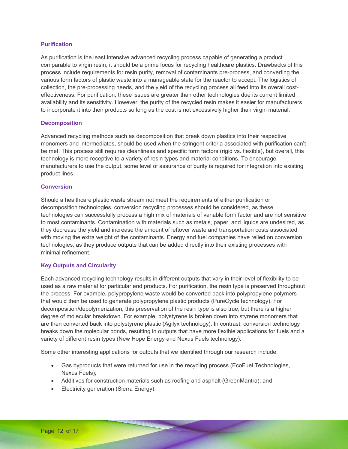#### **Purification**

As purification is the least intensive advanced recycling process capable of generating a product comparable to virgin resin, it should be a prime focus for recycling healthcare plastics. Drawbacks of this process include requirements for resin purity, removal of contaminants pre-process, and converting the various form factors of plastic waste into a manageable state for the reactor to accept. The logistics of collection, the pre-processing needs, and the yield of the recycling process all feed into its overall costeffectiveness. For purification, these issues are greater than other technologies due its current limited availability and its sensitivity. However, the purity of the recycled resin makes it easier for manufacturers to incorporate it into their products so long as the cost is not excessively higher than virgin material.

#### **Decomposition**

Advanced recycling methods such as decomposition that break down plastics into their respective monomers and intermediates, should be used when the stringent criteria associated with purification can't be met. This process still requires cleanliness and specific form factors (rigid vs. flexible), but overall, this technology is more receptive to a variety of resin types and material conditions. To encourage manufacturers to use the output, some level of assurance of purity is required for integration into existing product lines.

#### **Conversion**

Should a healthcare plastic waste stream not meet the requirements of either purification or decomposition technologies, conversion recycling processes should be considered, as these technologies can successfully process a high mix of materials of variable form factor and are not sensitive to most contaminants. Contamination with materials such as metals, paper, and liquids are undesired, as they decrease the yield and increase the amount of leftover waste and transportation costs associated with moving the extra weight of the contaminants. Energy and fuel companies have relied on conversion technologies, as they produce outputs that can be added directly into their existing processes with minimal refinement.

#### **Key Outputs and Circularity**

Each advanced recycling technology results in different outputs that vary in their level of flexibility to be used as a raw material for particular end products. For purification, the resin type is preserved throughout the process. For example, polypropylene waste would be converted back into polypropylene polymers that would then be used to generate polypropylene plastic products (PureCycle technology). For decomposition/depolymerization, this preservation of the resin type is also true, but there is a higher degree of molecular breakdown. For example, polystyrene is broken down into styrene monomers that are then converted back into polystyrene plastic (Agilyx technology). In contrast, conversion technology breaks down the molecular bonds, resulting in outputs that have more flexible applications for fuels and a variety of different resin types (New Hope Energy and Nexus Fuels technology).

Some other interesting applications for outputs that we identified through our research include:

- Gas byproducts that were returned for use in the recycling process (EcoFuel Technologies, Nexus Fuels);
- Additives for construction materials such as roofing and asphalt (GreenMantra); and
- Electricity generation (Sierra Energy).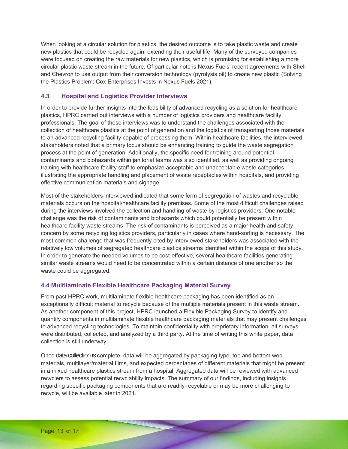When looking at a circular solution for plastics, the desired outcome is to take plastic waste and create new plastics that could be recycled again, extending their useful life. Many of the surveyed companies were focused on creating the raw materials for new plastics, which is promising for establishing a more circular plastic waste stream in the future. Of particular note is Nexus Fuels' recent agreements with Shell and Chevron to use output from their conversion technology (pyrolysis oil) to create new plastic (Solving the Plastics Problem: Cox Enterprises Invests in Nexus Fuels 2021).

### **4.3 Hospital and Logistics Provider Interviews**

In order to provide further insights into the feasibility of advanced recycling as a solution for healthcare plastics, HPRC carried out interviews with a number of logistics providers and healthcare facility professionals. The goal of these interviews was to understand the challenges associated with the collection of healthcare plastics at the point of generation and the logistics of transporting those materials to an advanced recycling facility capable of processing them. Within healthcare facilities, the interviewed stakeholders noted that a primary focus should be enhancing training to guide the waste segregation process at the point of generation. Additionally, the specific need for training around potential contaminants and biohazards within janitorial teams was also identified, as well as providing ongoing training with healthcare facility staff to emphasize acceptable and unacceptable waste categories, illustrating the appropriate handling and placement of waste receptacles within hospitals, and providing effective communication materials and signage.

Most of the stakeholders interviewed indicated that some form of segregation of wastes and recyclable materials occurs on the hospital/healthcare facility premises. Some of the most difficult challenges raised during the interviews involved the collection and handling of waste by logistics providers. One notable challenge was the risk of contaminants and biohazards which could potentially be present within healthcare facility waste streams. The risk of contaminants is perceived as a major health and safety concern by some recycling logistics providers, particularly in cases where hand-sorting is necessary. The most common challenge that was frequently cited by interviewed stakeholders was associated with the relatively low volumes of segregated healthcare plastics streams identified within the scope of this study. In order to generate the needed volumes to be cost-effective, several healthcare facilities generating similar waste streams would need to be concentrated within a certain distance of one another so the waste could be aggregated.

#### **4.4 Multilaminate Flexible Healthcare Packaging Material Survey**

From past HPRC work, multilaminate flexible healthcare packaging has been identified as an exceptionally difficult material to recycle because of the multiple materials present in this waste stream. As another component of this project, HPRC launched a Flexible Packaging Survey to identify and quantify components in multilaminate flexible healthcare packaging materials that may present challenges to advanced recycling technologies. To maintain confidentiality with proprietary information, all surveys were distributed, collected, and analyzed by a third party. At the time of writing this white paper, data collection is still underway.

Once data collection is complete, data will be aggregated by packaging type, top and bottom web materials, multilayer/material films, and expected percentages of different materials that might be present in a mixed healthcare plastics stream from a hospital. Aggregated data will be reviewed with advanced recyclers to assess potential recyclability impacts. The summary of our findings, including insights regarding specific packaging components that are readily recyclable or may be more challenging to recycle, will be available later in 2021.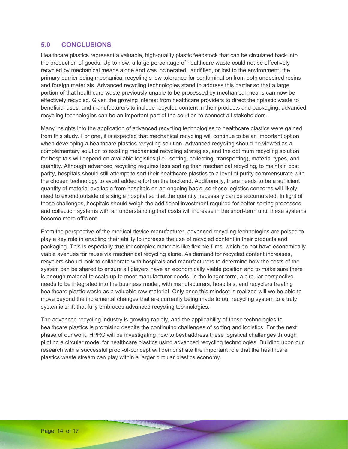### **5.0 CONCLUSIONS**

Healthcare plastics represent a valuable, high-quality plastic feedstock that can be circulated back into the production of goods. Up to now, a large percentage of healthcare waste could not be effectively recycled by mechanical means alone and was incinerated, landfilled, or lost to the environment, the primary barrier being mechanical recycling's low tolerance for contamination from both undesired resins and foreign materials. Advanced recycling technologies stand to address this barrier so that a large portion of that healthcare waste previously unable to be processed by mechanical means can now be effectively recycled. Given the growing interest from healthcare providers to direct their plastic waste to beneficial uses, and manufacturers to include recycled content in their products and packaging, advanced recycling technologies can be an important part of the solution to connect all stakeholders.

Many insights into the application of advanced recycling technologies to healthcare plastics were gained from this study. For one, it is expected that mechanical recycling will continue to be an important option when developing a healthcare plastics recycling solution. Advanced recycling should be viewed as a complementary solution to existing mechanical recycling strategies, and the optimum recycling solution for hospitals will depend on available logistics (i.e., sorting, collecting, transporting), material types, and quantity. Although advanced recycling requires less sorting than mechanical recycling, to maintain cost parity, hospitals should still attempt to sort their healthcare plastics to a level of purity commensurate with the chosen technology to avoid added effort on the backend. Additionally, there needs to be a sufficient quantity of material available from hospitals on an ongoing basis, so these logistics concerns will likely need to extend outside of a single hospital so that the quantity necessary can be accumulated. In light of these challenges, hospitals should weigh the additional investment required for better sorting processes and collection systems with an understanding that costs will increase in the short-term until these systems become more efficient.

From the perspective of the medical device manufacturer, advanced recycling technologies are poised to play a key role in enabling their ability to increase the use of recycled content in their products and packaging. This is especially true for complex materials like flexible films, which do not have economically viable avenues for reuse via mechanical recycling alone. As demand for recycled content increases, recyclers should look to collaborate with hospitals and manufacturers to determine how the costs of the system can be shared to ensure all players have an economically viable position and to make sure there is enough material to scale up to meet manufacturer needs. In the longer term, a circular perspective needs to be integrated into the business model, with manufacturers, hospitals, and recyclers treating healthcare plastic waste as a valuable raw material. Only once this mindset is realized will we be able to move beyond the incremental changes that are currently being made to our recycling system to a truly systemic shift that fully embraces advanced recycling technologies.

The advanced recycling industry is growing rapidly, and the applicability of these technologies to healthcare plastics is promising despite the continuing challenges of sorting and logistics. For the next phase of our work, HPRC will be investigating how to best address these logistical challenges through piloting a circular model for healthcare plastics using advanced recycling technologies. Building upon our research with a successful proof-of-concept will demonstrate the important role that the healthcare plastics waste stream can play within a larger circular plastics economy.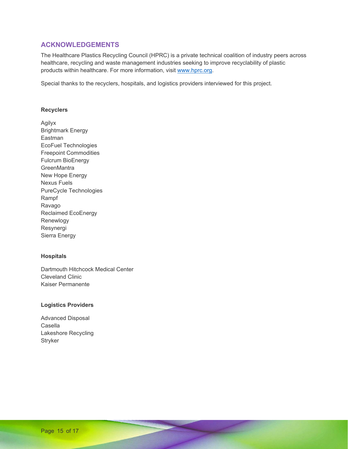### **ACKNOWLEDGEMENTS**

The Healthcare Plastics Recycling Council (HPRC) is a private technical coalition of industry peers across healthcare, recycling and waste management industries seeking to improve recyclability of plastic products within healthcare. For more information, visit www.hprc.org.

Special thanks to the recyclers, hospitals, and logistics providers interviewed for this project.

#### **Recyclers**

Agilyx Brightmark Energy Eastman EcoFuel Technologies Freepoint Commodities Fulcrum BioEnergy **GreenMantra** New Hope Energy Nexus Fuels PureCycle Technologies Rampf Ravago Reclaimed EcoEnergy Renewlogy Resynergi Sierra Energy

#### **Hospitals**

Dartmouth Hitchcock Medical Center Cleveland Clinic Kaiser Permanente

#### **Logistics Providers**

Advanced Disposal Casella Lakeshore Recycling **Stryker**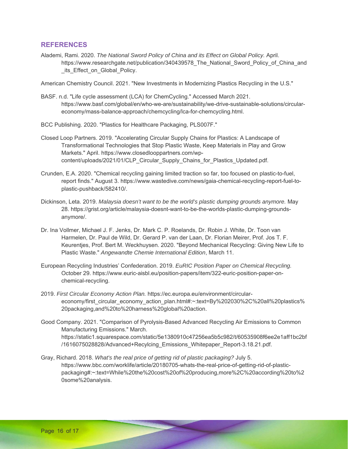### **REFERENCES**

Alademi, Rami. 2020. *The National Sword Policy of China and its Effect on Global Policy.* April. https://www.researchgate.net/publication/340439578\_The\_National\_Sword\_Policy\_of\_China\_and its\_Effect\_on\_Global\_Policy.

American Chemistry Council. 2021. "New Investments in Modernizing Plastics Recycling in the U.S."

BASF. n.d. "Life cycle assessment (LCA) for ChemCycling." Accessed March 2021. https://www.basf.com/global/en/who-we-are/sustainability/we-drive-sustainable-solutions/circulareconomy/mass-balance-approach/chemcycling/lca-for-chemcycling.html.

BCC Publishing. 2020. "Plastics for Healthcare Packaging, PLS007F."

- Closed Loop Partners. 2019. "Accelerating Circular Supply Chains for Plastics: A Landscape of Transformational Technologies that Stop Plastic Waste, Keep Materials in Play and Grow Markets." April. https://www.closedlooppartners.com/wpcontent/uploads/2021/01/CLP\_Circular\_Supply\_Chains\_for\_Plastics\_Updated.pdf.
- Crunden, E.A. 2020. "Chemical recycling gaining limited traction so far, too focused on plastic-to-fuel, report finds." August 3. https://www.wastedive.com/news/gaia-chemical-recycling-report-fuel-toplastic-pushback/582410/.
- Dickinson, Leta. 2019. *Malaysia doesn't want to be the world's plastic dumping grounds anymore.* May 28. https://grist.org/article/malaysia-doesnt-want-to-be-the-worlds-plastic-dumping-groundsanymore/.
- Dr. Ina Vollmer, Michael J. F. Jenks, Dr. Mark C. P. Roelands, Dr. Robin J. White, Dr. Toon van Harmelen, Dr. Paul de Wild, Dr. Gerard P. van der Laan, Dr. Florian Meirer, Prof. Jos T. F. Keurentjes, Prof. Bert M. Weckhuysen. 2020. "Beyond Mechanical Recycling: Giving New Life to Plastic Waste." *Angewandte Chemie International Edition*, March 11.
- European Recycling Industries' Confederation. 2019. *EuRIC Position Paper on Chemical Recycling.* October 29. https://www.euric-aisbl.eu/position-papers/item/322-euric-position-paper-onchemical-recycling.
- 2019. *First Circular Economy Action Plan.* https://ec.europa.eu/environment/circulareconomy/first\_circular\_economy\_action\_plan.html#:~:text=By%202030%2C%20all%20plastics% 20packaging,and%20to%20harness%20global%20action.
- Good Company. 2021. "Comparison of Pyrolysis-Based Advanced Recycling Air Emissions to Common Manufacturing Emissions." March. https://static1.squarespace.com/static/5e1380910c47256ea5b5c982/t/60535908f6ee2e1aff1bc2bf /1616075028828/Advanced+Recylcing\_Emissions\_Whitepaper\_Report-3.18.21.pdf.
- Gray, Richard. 2018. *What's the real price of getting rid of plastic packaging?* July 5. https://www.bbc.com/worklife/article/20180705-whats-the-real-price-of-getting-rid-of-plasticpackaging#:~:text=While%20the%20cost%20of%20producing,more%2C%20according%20to%2 0some%20analysis.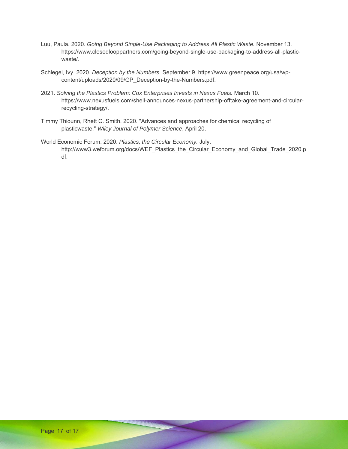- Luu, Paula. 2020. *Going Beyond Single-Use Packaging to Address All Plastic Waste.* November 13. https://www.closedlooppartners.com/going-beyond-single-use-packaging-to-address-all-plasticwaste/.
- Schlegel, Ivy. 2020. *Deception by the Numbers.* September 9. https://www.greenpeace.org/usa/wpcontent/uploads/2020/09/GP\_Deception-by-the-Numbers.pdf.
- 2021. *Solving the Plastics Problem: Cox Enterprises Invests in Nexus Fuels.* March 10. https://www.nexusfuels.com/shell-announces-nexus-partnership-offtake-agreement-and-circularrecycling-strategy/.
- Timmy Thiounn, Rhett C. Smith. 2020. "Advances and approaches for chemical recycling of plasticwaste." *Wiley Journal of Polymer Science*, April 20.
- World Economic Forum. 2020. *Plastics, the Circular Economy.* July. http://www3.weforum.org/docs/WEF\_Plastics\_the\_Circular\_Economy\_and\_Global\_Trade\_2020.p df.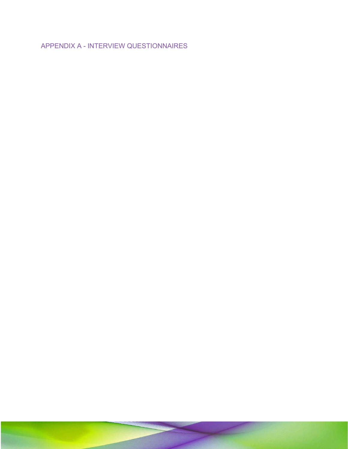APPENDIX A - INTERVIEW QUESTIONNAIRES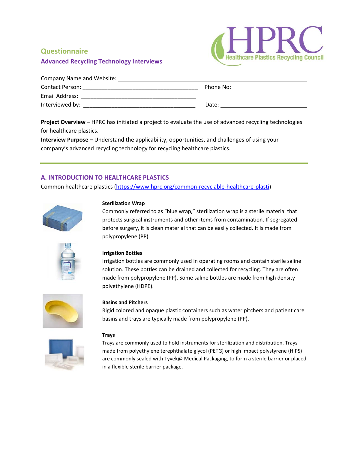### **Advanced Recycling Technology Interviews**



| Company Name and Website: |           |  |  |  |
|---------------------------|-----------|--|--|--|
| <b>Contact Person:</b>    | Phone No: |  |  |  |
| Email Address:            |           |  |  |  |
| Interviewed by:           | Date:     |  |  |  |

**Project Overview –** HPRC has initiated a project to evaluate the use of advanced recycling technologies for healthcare plastics.

**Interview Purpose –** Understand the applicability, opportunities, and challenges of using your company's advanced recycling technology for recycling healthcare plastics.

### **A. INTRODUCTION TO HEALTHCARE PLASTICS**

Common healthcare plastics (https://www.hprc.org/common‐recyclable‐healthcare‐plasti)



#### **Sterilization Wrap**

Commonly referred to as "blue wrap," sterilization wrap is a sterile material that protects surgical instruments and other items from contamination. If segregated before surgery, it is clean material that can be easily collected. It is made from polypropylene (PP).



#### **Irrigation Bottles**

Irrigation bottles are commonly used in operating rooms and contain sterile saline solution. These bottles can be drained and collected for recycling. They are often made from polypropylene (PP). Some saline bottles are made from high density polyethylene (HDPE).



#### **Basins and Pitchers**

Rigid colored and opaque plastic containers such as water pitchers and patient care basins and trays are typically made from polypropylene (PP).



#### **Trays**

Trays are commonly used to hold instruments for sterilization and distribution. Trays made from polyethylene terephthalate glycol (PETG) or high impact polystyrene (HIPS) are commonly sealed with Tyvek@ Medical Packaging, to form a sterile barrier or placed in a flexible sterile barrier package.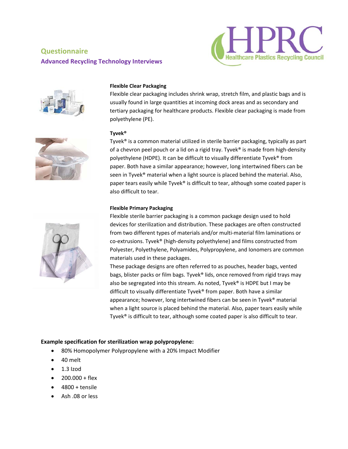# **Questionnaire Advanced Recycling Technology Interviews**





#### **Flexible Clear Packaging**

Flexible clear packaging includes shrink wrap, stretch film, and plastic bags and is usually found in large quantities at incoming dock areas and as secondary and tertiary packaging for healthcare products. Flexible clear packaging is made from polyethylene (PE).



#### **Tyvek®**

Tyvek® is a common material utilized in sterile barrier packaging, typically as part of a chevron peel pouch or a lid on a rigid tray. Tyvek® is made from high-density polyethylene (HDPE). It can be difficult to visually differentiate Tyvek® from paper. Both have a similar appearance; however, long intertwined fibers can be seen in Tyvek<sup>®</sup> material when a light source is placed behind the material. Also, paper tears easily while Tyvek® is difficult to tear, although some coated paper is also difficult to tear.

#### **Flexible Primary Packaging**

Flexible sterile barrier packaging is a common package design used to hold devices for sterilization and distribution. These packages are often constructed from two different types of materials and/or multi‐material film laminations or co-extrusions. Tyvek<sup>®</sup> (high-density polyethylene) and films constructed from Polyester, Polyethylene, Polyamides, Polypropylene, and Ionomers are common materials used in these packages.

These package designs are often referred to as pouches, header bags, vented bags, blister packs or film bags. Tyvek® lids, once removed from rigid trays may also be segregated into this stream. As noted, Tyvek® is HDPE but I may be difficult to visually differentiate Tyvek® from paper. Both have a similar appearance; however, long intertwined fibers can be seen in Tyvek® material when a light source is placed behind the material. Also, paper tears easily while Tyvek® is difficult to tear, although some coated paper is also difficult to tear.

#### **Example specification for sterilization wrap polypropylene:**

- 80% Homopolymer Polypropylene with a 20% Impact Modifier
- 40 melt
- $\bullet$  1.3 Izod
- $\bullet$  200.000 + flex
- 4800 + tensile
- Ash .08 or less

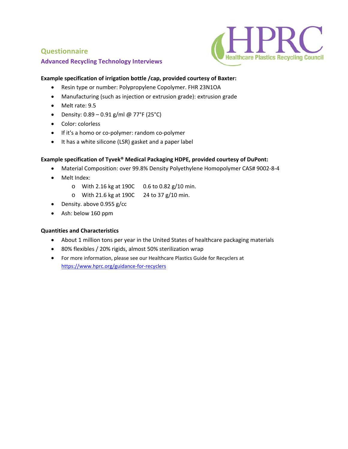### **Advanced Recycling Technology Interviews**

### **Example specification of irrigation bottle /cap, provided courtesy of Baxter:**

- Resin type or number: Polypropylene Copolymer. FHR 23N1OA
- Manufacturing (such as injection or extrusion grade): extrusion grade
- Melt rate: 9.5
- Density:  $0.89 0.91$  g/ml @ 77°F (25°C)
- Color: colorless
- If it's a homo or co-polymer: random co-polymer
- It has a white silicone (LSR) gasket and a paper label

#### **Example specification of Tyvek® Medical Packaging HDPE, provided courtesy of DuPont:**

Material Composition: over 99.8% Density Polyethylene Homopolymer CAS# 9002‐8‐4

PR

lealthcare Plastics Recycling Council

- Melt Index:
	- o With 2.16 kg at 190C 0.6 to 0.82 g/10 min.
	- o With 21.6 kg at 190C 24 to 37 g/10 min.
- Density. above 0.955 g/cc
- Ash: below 160 ppm

### **Quantities and Characteristics**

- About 1 million tons per year in the United States of healthcare packaging materials
- 80% flexibles / 20% rigids, almost 50% sterilization wrap
- For more information, please see our Healthcare Plastics Guide for Recyclers at https://www.hprc.org/guidance‐for‐recyclers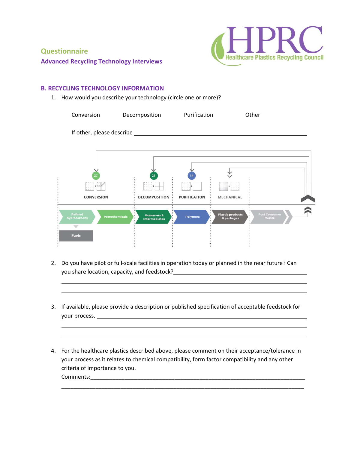

### **Advanced Recycling Technology Interviews**

### **B. RECYCLING TECHNOLOGY INFORMATION**

1. How would you describe your technology (circle one or more)?

| Conversion                                              | Decomposition                                                                                                                                                                                                                                                                                                                                       | Purification        |                                       | Other                         |  |
|---------------------------------------------------------|-----------------------------------------------------------------------------------------------------------------------------------------------------------------------------------------------------------------------------------------------------------------------------------------------------------------------------------------------------|---------------------|---------------------------------------|-------------------------------|--|
| If other, please describe ___                           |                                                                                                                                                                                                                                                                                                                                                     |                     |                                       |                               |  |
|                                                         |                                                                                                                                                                                                                                                                                                                                                     |                     |                                       |                               |  |
| 27                                                      | 21                                                                                                                                                                                                                                                                                                                                                  | 14                  |                                       |                               |  |
| ₩                                                       | $\begin{picture}(20,20) \put(0,0){\line(0,1){10}} \put(15,0){\line(0,1){10}} \put(15,0){\line(0,1){10}} \put(15,0){\line(0,1){10}} \put(15,0){\line(0,1){10}} \put(15,0){\line(0,1){10}} \put(15,0){\line(0,1){10}} \put(15,0){\line(0,1){10}} \put(15,0){\line(0,1){10}} \put(15,0){\line(0,1){10}} \put(15,0){\line(0,1){10}} \put(15,0){\line(0$ | EH.                 | accessive.<br>$\frac{1}{2}$           |                               |  |
| <b>CONVERSION</b>                                       | <b>DECOMPOSITION</b>                                                                                                                                                                                                                                                                                                                                | <b>PURIFICATION</b> | <b>MECHANICAL</b>                     |                               |  |
| <b>Refined</b><br><b>Petrochemicals</b><br>hydrocarbons | <b>Monomers &amp;</b><br><b>Intermediates</b>                                                                                                                                                                                                                                                                                                       | <b>Polymers</b>     | <b>Plastic products</b><br>& packages | <b>Post Consumer</b><br>Waste |  |
| <b>Fuels</b>                                            |                                                                                                                                                                                                                                                                                                                                                     |                     |                                       |                               |  |

2. Do you have pilot or full-scale facilities in operation today or planned in the near future? Can you share location, capacity, and feedstock?

<u> 1980 - Andrea Santana, amerikana amerikana amerikana amerikana amerikana amerikana amerikana amerikana amerik</u>

3. If available, please provide a description or published specification of acceptable feedstock for your process. <u>The contract of the contract of the contract of the contract of the contract of the contract of the contract of the contract of the contract of the contract of the contract of the contract of the contract of</u>

<u> 1980 - Andrea Santana, amerikana amerikana amerikana amerikana amerikana amerikana amerikana amerikana amerik</u>

<u> 1980 - Johann Barnett, fransk politik (d. 1980)</u>

4. For the healthcare plastics described above, please comment on their acceptance/tolerance in your process as it relates to chemical compatibility, form factor compatibility and any other criteria of importance to you. Comments:\_\_\_\_\_\_\_\_\_\_\_\_\_\_\_\_\_\_\_\_\_\_\_\_\_\_\_\_\_\_\_\_\_\_\_\_\_\_\_\_\_\_\_\_\_\_\_\_\_\_\_\_\_\_\_\_\_\_\_\_\_\_\_\_\_\_\_\_\_

\_\_\_\_\_\_\_\_\_\_\_\_\_\_\_\_\_\_\_\_\_\_\_\_\_\_\_\_\_\_\_\_\_\_\_\_\_\_\_\_\_\_\_\_\_\_\_\_\_\_\_\_\_\_\_\_\_\_\_\_\_\_\_\_\_\_\_\_\_\_\_\_\_\_\_\_\_\_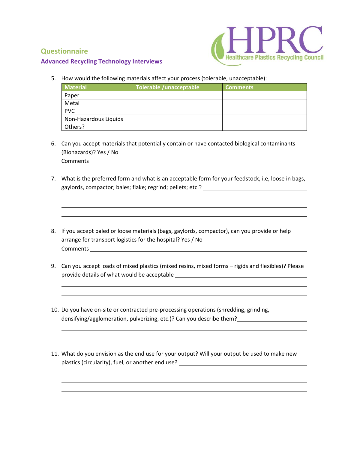

### **Advanced Recycling Technology Interviews**

5. How would the following materials affect your process (tolerable, unacceptable):

| <b>Material</b>       | Tolerable /unacceptable | <b>Comments</b> |
|-----------------------|-------------------------|-----------------|
| Paper                 |                         |                 |
| Metal                 |                         |                 |
| <b>PVC</b>            |                         |                 |
| Non-Hazardous Liquids |                         |                 |
| Others?               |                         |                 |

- 6. Can you accept materials that potentially contain or have contacted biological contaminants (Biohazards)? Yes / No Comments
- 7. What is the preferred form and what is an acceptable form for your feedstock, i.e, loose in bags, gaylords, compactor; bales; flake; regrind; pellets; etc.?

<u> 1989 - Johann Stoff, deutscher Stoffen und der Stoffen und der Stoffen und der Stoffen und der Stoffen und d</u>

<u> 1980 - Andrea Santana, amerikana amerikana amerikana amerikana amerikana amerikana amerikana amerikana amerik</u>

- 8. If you accept baled or loose materials (bags, gaylords, compactor), can you provide or help arrange for transport logistics for the hospital? Yes / No Comments
- 9. Can you accept loads of mixed plastics (mixed resins, mixed forms rigids and flexibles)? Please provide details of what would be acceptable

<u> 1980 - Johann Barnett, fransk politik (d. 1980)</u>

<u> 1980 - Johann Barnett, fransk politik (d. 1980)</u>

<u> 1980 - Johann Barnett, fransk politik (d. 1980)</u>

<u> 1980 - Andrea Santana, amerikana amerikana amerikana amerikana amerikana amerikana amerikana amerikana amerik</u>

- 10. Do you have on-site or contracted pre-processing operations (shredding, grinding, densifying/agglomeration, pulverizing, etc.)? Can you describe them?
- 11. What do you envision as the end use for your output? Will your output be used to make new plastics (circularity), fuel, or another end use?

<u> 1980 - Andrea Santana, amerikana amerikana amerikana amerikana amerikana amerikana amerikana amerikana amerik</u>

<u> 1980 - Andrea Santana, amerikana amerikana amerikana amerikana amerikana amerikana amerikana amerikana amerik</u>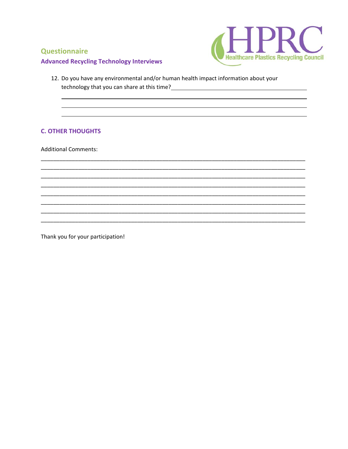

### **Advanced Recycling Technology Interviews**

12. Do you have any environmental and/or human health impact information about your technology that you can share at this time?<br>
<u>
and</u> the contract of the state of the state of the state of the state of the state of the state of the state of the state of the state of the state of the state of the state o

### **C. OTHER THOUGHTS**

**Additional Comments:** 

Thank you for your participation!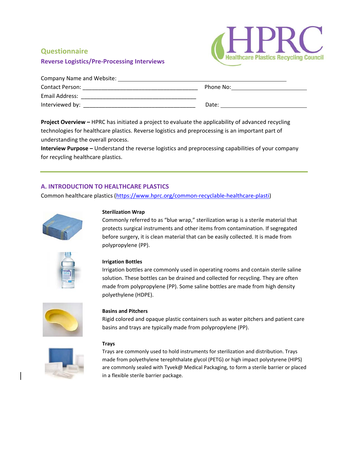### **Reverse Logistics/Pre‐Processing Interviews**



| Company Name and Website: |           |  |  |
|---------------------------|-----------|--|--|
| <b>Contact Person:</b>    | Phone No: |  |  |
| Email Address:            |           |  |  |
| Interviewed by:           | Date:     |  |  |

**Project Overview –** HPRC has initiated a project to evaluate the applicability of advanced recycling technologies for healthcare plastics. Reverse logistics and preprocessing is an important part of understanding the overall process.

**Interview Purpose –** Understand the reverse logistics and preprocessing capabilities of your company for recycling healthcare plastics.

### **A. INTRODUCTION TO HEALTHCARE PLASTICS**

Common healthcare plastics (https://www.hprc.org/common‐recyclable‐healthcare‐plasti)



#### **Sterilization Wrap**

Commonly referred to as "blue wrap," sterilization wrap is a sterile material that protects surgical instruments and other items from contamination. If segregated before surgery, it is clean material that can be easily collected. It is made from polypropylene (PP).



#### **Irrigation Bottles**

Irrigation bottles are commonly used in operating rooms and contain sterile saline solution. These bottles can be drained and collected for recycling. They are often made from polypropylene (PP). Some saline bottles are made from high density polyethylene (HDPE).



#### **Basins and Pitchers**

Rigid colored and opaque plastic containers such as water pitchers and patient care basins and trays are typically made from polypropylene (PP).



#### **Trays**

Trays are commonly used to hold instruments for sterilization and distribution. Trays made from polyethylene terephthalate glycol (PETG) or high impact polystyrene (HIPS) are commonly sealed with Tyvek@ Medical Packaging, to form a sterile barrier or placed in a flexible sterile barrier package.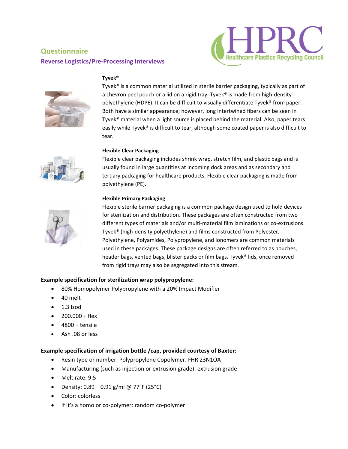# **Questionnaire Reverse Logistics/Pre‐Processing Interviews**





#### **Tyvek®**

Tyvek® is a common material utilized in sterile barrier packaging, typically as part of a chevron peel pouch or a lid on a rigid tray. Tyvek® is made from high-density polyethylene (HDPE). It can be difficult to visually differentiate Tyvek® from paper. Both have a similar appearance; however, long intertwined fibers can be seen in Tyvek® material when a light source is placed behind the material. Also, paper tears easily while Tyvek® is difficult to tear, although some coated paper is also difficult to tear.



#### **Flexible Clear Packaging**

Flexible clear packaging includes shrink wrap, stretch film, and plastic bags and is usually found in large quantities at incoming dock areas and as secondary and tertiary packaging for healthcare products. Flexible clear packaging is made from polyethylene (PE).

#### **Flexible Primary Packaging**



Flexible sterile barrier packaging is a common package design used to hold devices for sterilization and distribution. These packages are often constructed from two different types of materials and/or multi-material film laminations or co-extrusions. Tyvek® (high‐density polyethylene) and films constructed from Polyester, Polyethylene, Polyamides, Polypropylene, and Ionomers are common materials used in these packages. These package designs are often referred to as pouches, header bags, vented bags, blister packs or film bags. Tyvek® lids, once removed from rigid trays may also be segregated into this stream.

### **Example specification for sterilization wrap polypropylene:**

- 80% Homopolymer Polypropylene with a 20% Impact Modifier
- 40 melt
- $\bullet$  1.3 Izod
- $\bullet$  200.000 + flex
- 4800 + tensile
- Ash .08 or less

#### **Example specification of irrigation bottle /cap, provided courtesy of Baxter:**

- Resin type or number: Polypropylene Copolymer. FHR 23N1OA
- Manufacturing (such as injection or extrusion grade): extrusion grade
- Melt rate: 9.5
- Density:  $0.89 0.91$  g/ml @ 77°F (25°C)
- Color: colorless
- If it's a homo or co-polymer: random co-polymer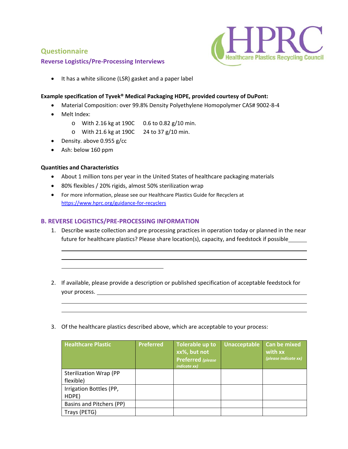### **Reverse Logistics/Pre‐Processing Interviews**



It has a white silicone (LSR) gasket and a paper label

#### **Example specification of Tyvek® Medical Packaging HDPE, provided courtesy of DuPont:**

- Material Composition: over 99.8% Density Polyethylene Homopolymer CAS# 9002-8-4
- Melt Index:
	- o With 2.16 kg at 190C 0.6 to 0.82 g/10 min.
	- o With 21.6 kg at 190C 24 to 37 g/10 min.
- Density. above 0.955 g/cc
- Ash: below 160 ppm

#### **Quantities and Characteristics**

- About 1 million tons per year in the United States of healthcare packaging materials
- 80% flexibles / 20% rigids, almost 50% sterilization wrap
- For more information, please see our Healthcare Plastics Guide for Recyclers at https://www.hprc.org/guidance-for-recyclers

#### **B. REVERSE LOGISTICS/PRE‐PROCESSING INFORMATION**

1. Describe waste collection and pre processing practices in operation today or planned in the near future for healthcare plastics? Please share location(s), capacity, and feedstock if possible

<u> 1980 - Andrea Santana, amerikana amerikana amerikana amerikana amerikana amerikana amerikana amerikana amerik</u>

2. If available, please provide a description or published specification of acceptable feedstock for your process.

<u> 1980 - Andrea Santana, amerikana amerikana amerikana amerikana amerikana amerikana amerikana amerikana amerik</u>

<u> 1980 - Johann Barnett, fransk politik (d. 1980)</u>

3. Of the healthcare plastics described above, which are acceptable to your process:

| <b>Healthcare Plastic</b>     | <b>Preferred</b> | Tolerable up to<br>xx%, but not<br><b>Preferred</b> (please<br><i>indicate xx)</i> | Unacceptable | <b>Can be mixed</b><br>with xx<br>(please indicate xx) |
|-------------------------------|------------------|------------------------------------------------------------------------------------|--------------|--------------------------------------------------------|
| <b>Sterilization Wrap (PP</b> |                  |                                                                                    |              |                                                        |
| flexible)                     |                  |                                                                                    |              |                                                        |
| Irrigation Bottles (PP,       |                  |                                                                                    |              |                                                        |
| HDPE)                         |                  |                                                                                    |              |                                                        |
| Basins and Pitchers (PP)      |                  |                                                                                    |              |                                                        |
| Trays (PETG)                  |                  |                                                                                    |              |                                                        |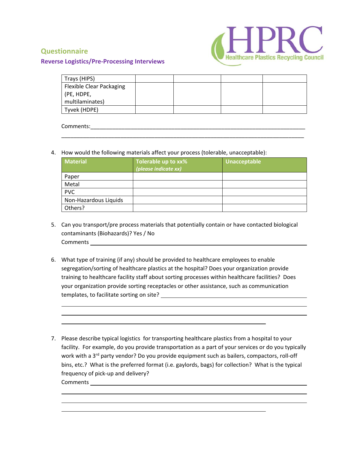

### **Reverse Logistics/Pre‐Processing Interviews**

| Trays (HIPS)                    |  |  |
|---------------------------------|--|--|
| <b>Flexible Clear Packaging</b> |  |  |
| (PE, HDPE,                      |  |  |
| multilaminates)                 |  |  |
| Tyvek (HDPE)                    |  |  |
|                                 |  |  |

\_\_\_\_\_\_\_\_\_\_\_\_\_\_\_\_\_\_\_\_\_\_\_\_\_\_\_\_\_\_\_\_\_\_\_\_\_\_\_\_\_\_\_\_\_\_\_\_\_\_\_\_\_\_\_\_\_\_\_\_\_\_\_\_\_\_\_\_\_\_\_\_\_\_\_\_\_\_

### Comments:\_\_\_\_\_\_\_\_\_\_\_\_\_\_\_\_\_\_\_\_\_\_\_\_\_\_\_\_\_\_\_\_\_\_\_\_\_\_\_\_\_\_\_\_\_\_\_\_\_\_\_\_\_\_\_\_\_\_\_\_\_\_\_\_\_\_\_\_\_

4. How would the following materials affect your process (tolerable, unacceptable):

| <b>Material</b>       | Tolerable up to xx%<br>(please indicate xx) | Unacceptable |
|-----------------------|---------------------------------------------|--------------|
| Paper                 |                                             |              |
| Metal                 |                                             |              |
| <b>PVC</b>            |                                             |              |
| Non-Hazardous Liquids |                                             |              |
| Others?               |                                             |              |

- 5. Can you transport/pre process materials that potentially contain or have contacted biological contaminants (Biohazards)? Yes / No Comments **comments comments comments comments comments comments comments comments comments comments comments comments comments comments comments comments comments comments comments com**
- 6. What type of training (if any) should be provided to healthcare employees to enable segregation/sorting of healthcare plastics at the hospital? Does your organization provide training to healthcare facility staff about sorting processes within healthcare facilities? Does your organization provide sorting receptacles or other assistance, such as communication templates, to facilitate sorting on site?

<u> 1989 - Johann Stoff, deutscher Stoffen und der Stoffen und der Stoffen und der Stoffen und der Stoffen und d</u>

<u> 1980 - Johann Barn, mars ann an t-Amhain Aonaich an t-Aonaich an t-Aonaich ann an t-Aonaich ann an t-Aonaich</u>

7. Please describe typical logistics for transporting healthcare plastics from a hospital to your facility. For example, do you provide transportation as a part of your services or do you typically work with a 3<sup>rd</sup> party vendor? Do you provide equipment such as bailers, compactors, roll-off bins, etc.? What is the preferred format (i.e. gaylords, bags) for collection? What is the typical frequency of pick‐up and delivery? Comments

<u> 1980 - Andrea Santana, amerikana amerikana amerikana amerikana amerikana amerikana amerikana amerikana amerik</u>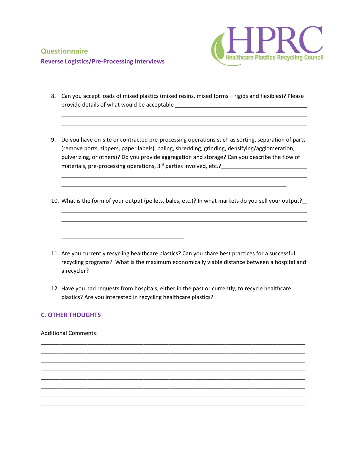

8. Can you accept loads of mixed plastics (mixed resins, mixed forms – rigids and flexibles)? Please provide details of what would be acceptable

<u> 1989 - Johann Stoff, deutscher Stoffen und der Stoffen und der Stoffen und der Stoffen und der Stoffen und d</u>

<u> 1989 - Johann Stoff, deutscher Stoffen und der Stoffen und der Stoffen und der Stoffen und der Stoffen und d</u>

- 9. Do you have on-site or contracted pre-processing operations such as sorting, separation of parts (remove ports, zippers, paper labels), baling, shredding, grinding, densifying/agglomeration, pulverizing, or others)? Do you provide aggregation and storage? Can you describe the flow of materials, pre-processing operations, 3<sup>rd</sup> parties involved, etc.?
- 10. What is the form of your output (pellets, bales, etc.)? In what markets do you sell your output?

<u> 1980 - Andrea Santana, amerikana amerikana amerikana amerikana amerikana amerikana amerikana amerikana amerik</u>

<u> 1980 - Johann Stoff, deutscher Stoffen und der Stoffen und der Stoffen und der Stoffen und der Stoffen und d</u>

- 11. Are you currently recycling healthcare plastics? Can you share best practices for a successful recycling programs? What is the maximum economically viable distance between a hospital and a recycler?
- 12. Have you had requests from hospitals, either in the past or currently, to recycle healthcare plastics? Are you interested in recycling healthcare plastics?

\_\_\_\_\_\_\_\_\_\_\_\_\_\_\_\_\_\_\_\_\_\_\_\_\_\_\_\_\_\_\_\_\_\_\_\_\_\_\_\_\_\_\_\_\_\_\_\_\_\_\_\_\_\_\_\_\_\_\_\_\_\_\_\_\_\_\_\_\_\_\_\_\_\_\_\_\_\_\_\_\_\_\_\_\_ \_\_\_\_\_\_\_\_\_\_\_\_\_\_\_\_\_\_\_\_\_\_\_\_\_\_\_\_\_\_\_\_\_\_\_\_\_\_\_\_\_\_\_\_\_\_\_\_\_\_\_\_\_\_\_\_\_\_\_\_\_\_\_\_\_\_\_\_\_\_\_\_\_\_\_\_\_\_\_\_\_\_\_\_\_ \_\_\_\_\_\_\_\_\_\_\_\_\_\_\_\_\_\_\_\_\_\_\_\_\_\_\_\_\_\_\_\_\_\_\_\_\_\_\_\_\_\_\_\_\_\_\_\_\_\_\_\_\_\_\_\_\_\_\_\_\_\_\_\_\_\_\_\_\_\_\_\_\_\_\_\_\_\_\_\_\_\_\_\_\_ \_\_\_\_\_\_\_\_\_\_\_\_\_\_\_\_\_\_\_\_\_\_\_\_\_\_\_\_\_\_\_\_\_\_\_\_\_\_\_\_\_\_\_\_\_\_\_\_\_\_\_\_\_\_\_\_\_\_\_\_\_\_\_\_\_\_\_\_\_\_\_\_\_\_\_\_\_\_\_\_\_\_\_\_\_ \_\_\_\_\_\_\_\_\_\_\_\_\_\_\_\_\_\_\_\_\_\_\_\_\_\_\_\_\_\_\_\_\_\_\_\_\_\_\_\_\_\_\_\_\_\_\_\_\_\_\_\_\_\_\_\_\_\_\_\_\_\_\_\_\_\_\_\_\_\_\_\_\_\_\_\_\_\_\_\_\_\_\_\_\_ \_\_\_\_\_\_\_\_\_\_\_\_\_\_\_\_\_\_\_\_\_\_\_\_\_\_\_\_\_\_\_\_\_\_\_\_\_\_\_\_\_\_\_\_\_\_\_\_\_\_\_\_\_\_\_\_\_\_\_\_\_\_\_\_\_\_\_\_\_\_\_\_\_\_\_\_\_\_\_\_\_\_\_\_\_ \_\_\_\_\_\_\_\_\_\_\_\_\_\_\_\_\_\_\_\_\_\_\_\_\_\_\_\_\_\_\_\_\_\_\_\_\_\_\_\_\_\_\_\_\_\_\_\_\_\_\_\_\_\_\_\_\_\_\_\_\_\_\_\_\_\_\_\_\_\_\_\_\_\_\_\_\_\_\_\_\_\_\_\_\_ \_\_\_\_\_\_\_\_\_\_\_\_\_\_\_\_\_\_\_\_\_\_\_\_\_\_\_\_\_\_\_\_\_\_\_\_\_\_\_\_\_\_\_\_\_\_\_\_\_\_\_\_\_\_\_\_\_\_\_\_\_\_\_\_\_\_\_\_\_\_\_\_\_\_\_\_\_\_\_\_\_\_\_\_\_

### **C. OTHER THOUGHTS**

Additional Comments: